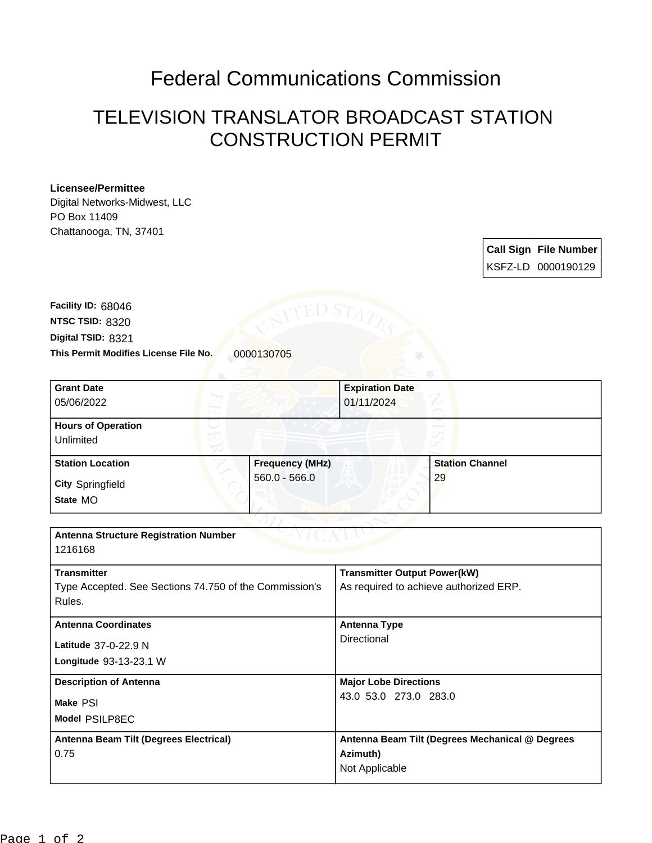## Federal Communications Commission

## TELEVISION TRANSLATOR BROADCAST STATION CONSTRUCTION PERMIT

## **Licensee/Permittee**

Digital Networks-Midwest, LLC PO Box 11409 Chattanooga, TN, 37401

| <b>Call Sign File Number</b> |
|------------------------------|
|                              |

**This Permit Modifies License File No.** 0000130705 **Digital TSID:** 8321 **NTSC TSID:** 8320 **Facility ID:** 68046

| <b>Grant Date</b>                                                            |                 | <b>Expiration Date</b>                 |                                                 |  |
|------------------------------------------------------------------------------|-----------------|----------------------------------------|-------------------------------------------------|--|
| 05/06/2022                                                                   |                 | 01/11/2024                             |                                                 |  |
|                                                                              |                 |                                        |                                                 |  |
| <b>Hours of Operation</b>                                                    |                 |                                        |                                                 |  |
| Unlimited                                                                    |                 |                                        |                                                 |  |
| <b>Station Location</b>                                                      | Frequency (MHz) |                                        | <b>Station Channel</b>                          |  |
| <b>City Springfield</b>                                                      | $560.0 - 566.0$ |                                        | 29                                              |  |
| State MO                                                                     |                 |                                        |                                                 |  |
|                                                                              |                 |                                        |                                                 |  |
| <b>Antenna Structure Registration Number</b>                                 |                 |                                        |                                                 |  |
| 1216168                                                                      |                 |                                        |                                                 |  |
| <b>Transmitter</b>                                                           |                 | <b>Transmitter Output Power(kW)</b>    |                                                 |  |
| Type Accepted. See Sections 74.750 of the Commission's                       |                 | As required to achieve authorized ERP. |                                                 |  |
| Rules.                                                                       |                 |                                        |                                                 |  |
| <b>Antenna Coordinates</b>                                                   |                 | <b>Antenna Type</b><br>Directional     |                                                 |  |
| Latitude 37-0-22.9 N                                                         |                 |                                        |                                                 |  |
| Longitude 93-13-23.1 W                                                       |                 |                                        |                                                 |  |
| <b>Description of Antenna</b>                                                |                 | <b>Major Lobe Directions</b>           |                                                 |  |
|                                                                              |                 | 43.0 53.0 273.0 283.0                  |                                                 |  |
|                                                                              |                 |                                        |                                                 |  |
|                                                                              |                 |                                        |                                                 |  |
|                                                                              |                 |                                        |                                                 |  |
|                                                                              |                 |                                        |                                                 |  |
|                                                                              |                 |                                        |                                                 |  |
| Make PSI<br>Model PSILP8EC<br>Antenna Beam Tilt (Degrees Electrical)<br>0.75 |                 | Azimuth)<br>Not Applicable             | Antenna Beam Tilt (Degrees Mechanical @ Degrees |  |